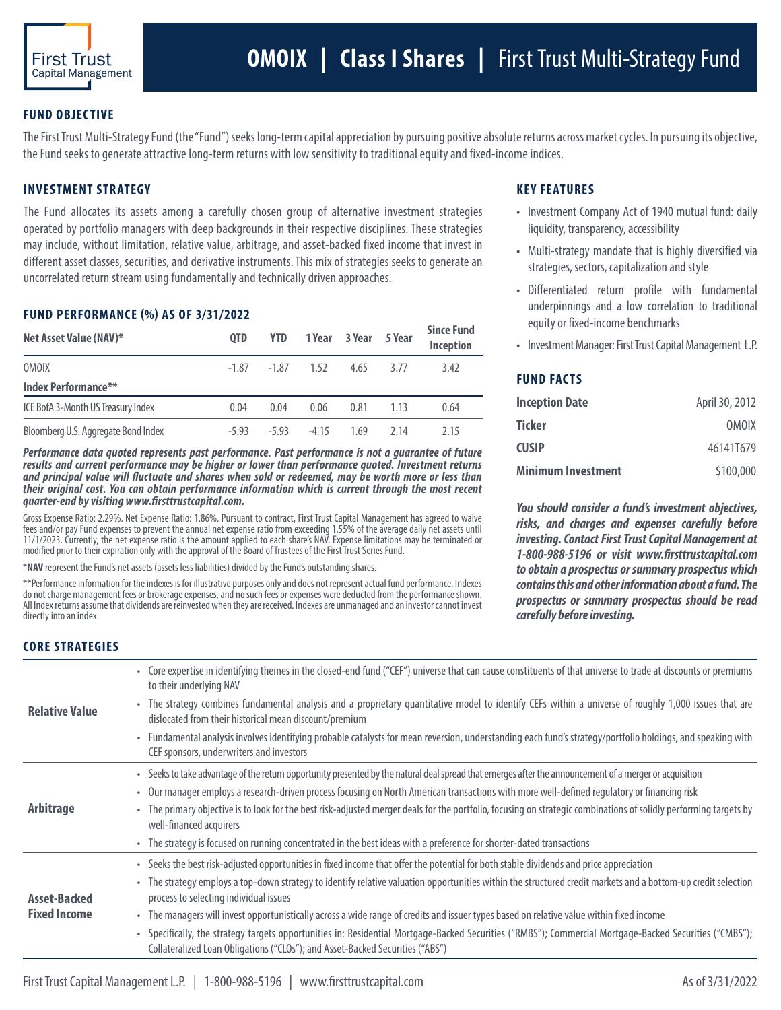

## **FUND OBJECTIVE**

The First Trust Multi-Strategy Fund (the "Fund") seeks long-term capital appreciation by pursuing positive absolute returns across market cycles. In pursuing its objective, the Fund seeks to generate attractive long-term returns with low sensitivity to traditional equity and fixed-income indices.

# **INVESTMENT STRATEGY**

The Fund allocates its assets among a carefully chosen group of alternative investment strategies operated by portfolio managers with deep backgrounds in their respective disciplines. These strategies may include, without limitation, relative value, arbitrage, and asset-backed fixed income that invest in different asset classes, securities, and derivative instruments. This mix of strategies seeks to generate an uncorrelated return stream using fundamentally and technically driven approaches.

#### **FUND PERFORMANCE (%) AS OF 3/31/2022**

| Net Asset Value (NAV)*              | <b>OTD</b> | <b>YTD</b>     |         | 1 Year 3 Year | 5 Year | <b>Since Fund</b><br>Inception |
|-------------------------------------|------------|----------------|---------|---------------|--------|--------------------------------|
| <b>OMOIX</b>                        |            | $-1.87 - 1.87$ | 1,52    | 4.65          | 3.77   | 3.42                           |
| <b>Index Performance**</b>          |            |                |         |               |        |                                |
| ICE BofA 3-Month US Treasury Index  | 0.04       | 0.04           | 0.06    | 0.81          | 1.13   | 0.64                           |
| Bloomberg U.S. Aggregate Bond Index | -5.93      | $-5.93$        | $-4.15$ | 169           | 2 14   | 2.15                           |

*Performance data quoted represents past performance. Past performance is not a guarantee of future results and current performance may be higher or lower than performance quoted. Investment returns and principal value will fluctuate and shares when sold or redeemed, may be worth more or less than their original cost. You can obtain performance information which is current through the most recent quarter-end by visiting www.firsttrustcapital.com.* 

Gross Expense Ratio: 2.29%. Net Expense Ratio: 1.86%. Pursuant to contract, First Trust Capital Management has agreed to waive fees and/or pay Fund expenses to prevent the annual net expense ratio from exceeding 1.55% of the average daily net assets until 11/1/2023. Currently, the net expense ratio is the amount applied to each share's NAV. Expense limitations may be terminated or modified prior to their expiration only with the approval of the Board of Trustees of the First Trust Series Fund.

\***NAV** represent the Fund's net assets (assets less liabilities) divided by the Fund's outstanding shares.

\*\*Performance information for the indexes is for illustrative purposes only and does not represent actual fund performance. Indexes do not charge management fees or brokerage expenses, and no such fees or expenses were deducted from the performance shown. All Index returns assume that dividends are reinvested when they are received. Indexes are unmanaged and an investor cannot invest directly into an index.

## **KEY FEATURES**

- Investment Company Act of 1940 mutual fund: daily liquidity, transparency, accessibility
- Multi-strategy mandate that is highly diversified via strategies, sectors, capitalization and style
- Differentiated return profile with fundamental underpinnings and a low correlation to traditional equity or fixed-income benchmarks
- Investment Manager: First Trust Capital Management L.P.

## **FUND FACTS**

| <b>Inception Date</b> | April 30, 2012 |
|-----------------------|----------------|
| Ticker                | <b>OMOIX</b>   |
| CUSIP                 | 461411679      |
| Minimum Investment    | \$100,000      |

*You should consider a fund's investment objectives, risks, and charges and expenses carefully before investing. Contact First Trust Capital Management at 1-800-988-5196 or visit www.firsttrustcapital.com to obtain a prospectus or summary prospectus which contains this and other information about a fund. The prospectus or summary prospectus should be read carefully before investing.*

#### **CORE STRATEGIES**

| <b>Relative Value</b>                      | • Core expertise in identifying themes in the closed-end fund ("CEF") universe that can cause constituents of that universe to trade at discounts or premiums<br>to their underlying NAV                                                 |
|--------------------------------------------|------------------------------------------------------------------------------------------------------------------------------------------------------------------------------------------------------------------------------------------|
|                                            | • The strategy combines fundamental analysis and a proprietary quantitative model to identify CEFs within a universe of roughly 1,000 issues that are<br>dislocated from their historical mean discount/premium                          |
|                                            | • Fundamental analysis involves identifying probable catalysts for mean reversion, understanding each fund's strategy/portfolio holdings, and speaking with<br>CEF sponsors, underwriters and investors                                  |
| <b>Arbitrage</b>                           | • Seeks to take advantage of the return opportunity presented by the natural deal spread that emerges after the announcement of a merger or acquisition                                                                                  |
|                                            | • Our manager employs a research-driven process focusing on North American transactions with more well-defined regulatory or financing risk                                                                                              |
|                                            | • The primary objective is to look for the best risk-adjusted merger deals for the portfolio, focusing on strategic combinations of solidly performing targets by<br>well-financed acquirers                                             |
|                                            | • The strategy is focused on running concentrated in the best ideas with a preference for shorter-dated transactions                                                                                                                     |
| <b>Asset-Backed</b><br><b>Fixed Income</b> | • Seeks the best risk-adjusted opportunities in fixed income that offer the potential for both stable dividends and price appreciation                                                                                                   |
|                                            | • The strategy employs a top-down strategy to identify relative valuation opportunities within the structured credit markets and a bottom-up credit selection<br>process to selecting individual issues                                  |
|                                            | • The managers will invest opportunistically across a wide range of credits and issuer types based on relative value within fixed income                                                                                                 |
|                                            | • Specifically, the strategy targets opportunities in: Residential Mortgage-Backed Securities ("RMBS"); Commercial Mortgage-Backed Securities ("CMBS");<br>Collateralized Loan Obligations ("CLOs"); and Asset-Backed Securities ("ABS") |